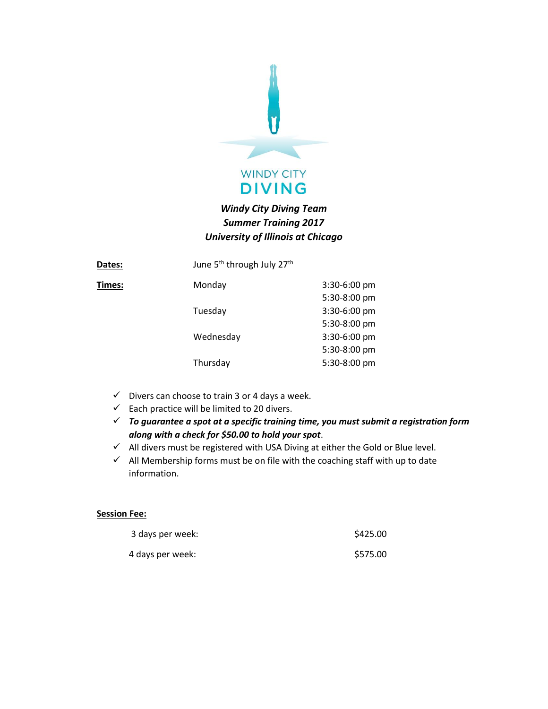

## *Windy City Diving Team Summer Training 2017 University of Illinois at Chicago*

| Dates: | June 5 <sup>th</sup> through July 27 <sup>th</sup> |              |
|--------|----------------------------------------------------|--------------|
| Times: | Monday                                             | 3:30-6:00 pm |
|        |                                                    | 5:30-8:00 pm |
|        | Tuesday                                            | 3:30-6:00 pm |
|        |                                                    | 5:30-8:00 pm |
|        | Wednesday                                          | 3:30-6:00 pm |
|        |                                                    | 5:30-8:00 pm |
|        | Thursday                                           | 5:30-8:00 pm |
|        |                                                    |              |

- $\checkmark$  Divers can choose to train 3 or 4 days a week.
- $\checkmark$  Each practice will be limited to 20 divers.
- ✓ *To guarantee a spot at a specific training time, you must submit a registration form along with a check for \$50.00 to hold your spot*.
- $\checkmark$  All divers must be registered with USA Diving at either the Gold or Blue level.
- $\checkmark$  All Membership forms must be on file with the coaching staff with up to date information.

## **Session Fee:**

| 3 days per week: | \$425.00 |
|------------------|----------|
| 4 days per week: | \$575.00 |